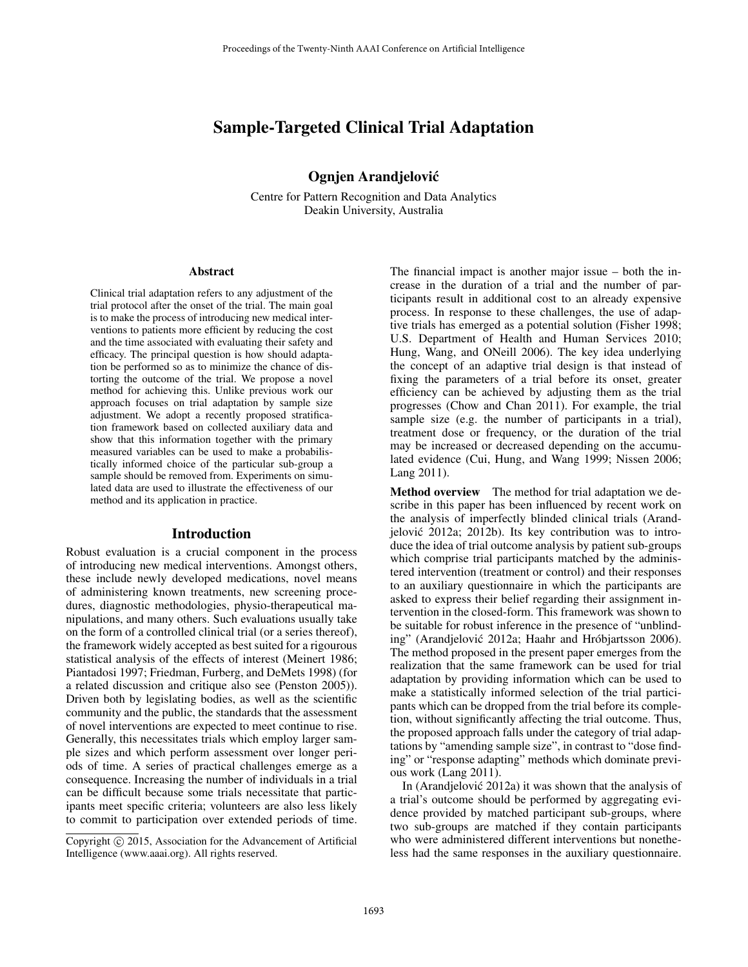# Sample-Targeted Clinical Trial Adaptation

# Ognjen Arandjelovic´

Centre for Pattern Recognition and Data Analytics Deakin University, Australia

#### Abstract

Clinical trial adaptation refers to any adjustment of the trial protocol after the onset of the trial. The main goal is to make the process of introducing new medical interventions to patients more efficient by reducing the cost and the time associated with evaluating their safety and efficacy. The principal question is how should adaptation be performed so as to minimize the chance of distorting the outcome of the trial. We propose a novel method for achieving this. Unlike previous work our approach focuses on trial adaptation by sample size adjustment. We adopt a recently proposed stratification framework based on collected auxiliary data and show that this information together with the primary measured variables can be used to make a probabilistically informed choice of the particular sub-group a sample should be removed from. Experiments on simulated data are used to illustrate the effectiveness of our method and its application in practice.

#### Introduction

Robust evaluation is a crucial component in the process of introducing new medical interventions. Amongst others, these include newly developed medications, novel means of administering known treatments, new screening procedures, diagnostic methodologies, physio-therapeutical manipulations, and many others. Such evaluations usually take on the form of a controlled clinical trial (or a series thereof), the framework widely accepted as best suited for a rigourous statistical analysis of the effects of interest (Meinert 1986; Piantadosi 1997; Friedman, Furberg, and DeMets 1998) (for a related discussion and critique also see (Penston 2005)). Driven both by legislating bodies, as well as the scientific community and the public, the standards that the assessment of novel interventions are expected to meet continue to rise. Generally, this necessitates trials which employ larger sample sizes and which perform assessment over longer periods of time. A series of practical challenges emerge as a consequence. Increasing the number of individuals in a trial can be difficult because some trials necessitate that participants meet specific criteria; volunteers are also less likely to commit to participation over extended periods of time. The financial impact is another major issue – both the increase in the duration of a trial and the number of participants result in additional cost to an already expensive process. In response to these challenges, the use of adaptive trials has emerged as a potential solution (Fisher 1998; U.S. Department of Health and Human Services 2010; Hung, Wang, and ONeill 2006). The key idea underlying the concept of an adaptive trial design is that instead of fixing the parameters of a trial before its onset, greater efficiency can be achieved by adjusting them as the trial progresses (Chow and Chan 2011). For example, the trial sample size (e.g. the number of participants in a trial), treatment dose or frequency, or the duration of the trial may be increased or decreased depending on the accumulated evidence (Cui, Hung, and Wang 1999; Nissen 2006; Lang 2011).

Method overview The method for trial adaptation we describe in this paper has been influenced by recent work on the analysis of imperfectly blinded clinical trials (Arandjelović 2012a; 2012b). Its key contribution was to introduce the idea of trial outcome analysis by patient sub-groups which comprise trial participants matched by the administered intervention (treatment or control) and their responses to an auxiliary questionnaire in which the participants are asked to express their belief regarding their assignment intervention in the closed-form. This framework was shown to be suitable for robust inference in the presence of "unblinding" (Arandjelović 2012a; Haahr and Hróbjartsson 2006). The method proposed in the present paper emerges from the realization that the same framework can be used for trial adaptation by providing information which can be used to make a statistically informed selection of the trial participants which can be dropped from the trial before its completion, without significantly affecting the trial outcome. Thus, the proposed approach falls under the category of trial adaptations by "amending sample size", in contrast to "dose finding" or "response adapting" methods which dominate previous work (Lang 2011).

In (Arandjelović 2012a) it was shown that the analysis of a trial's outcome should be performed by aggregating evidence provided by matched participant sub-groups, where two sub-groups are matched if they contain participants who were administered different interventions but nonetheless had the same responses in the auxiliary questionnaire.

Copyright (c) 2015, Association for the Advancement of Artificial Intelligence (www.aaai.org). All rights reserved.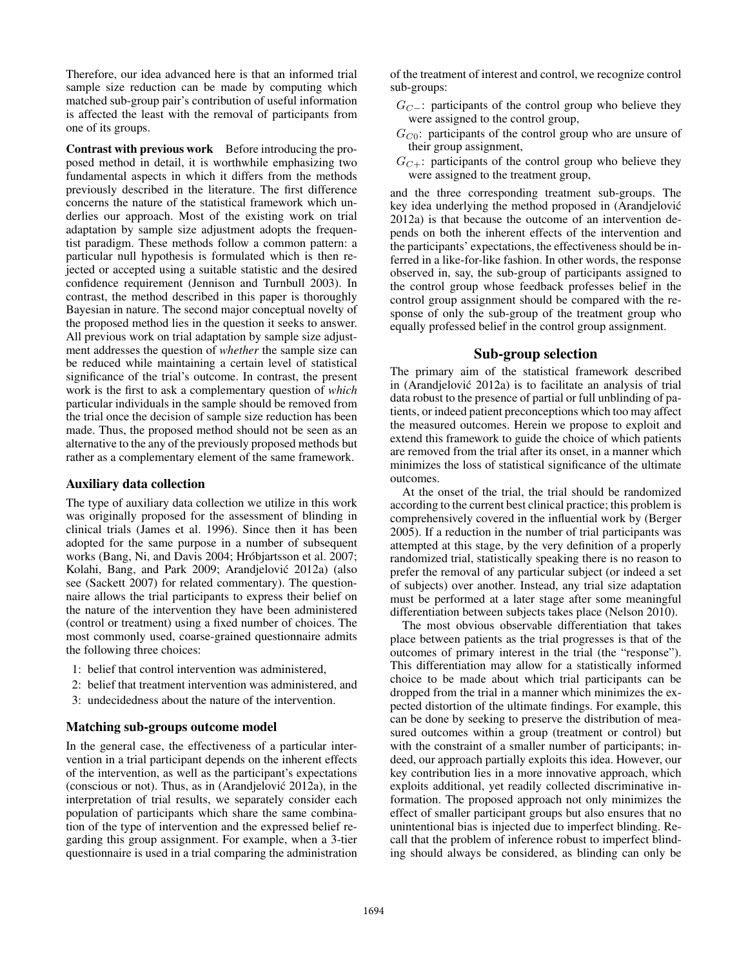Therefore, our idea advanced here is that an informed trial sample size reduction can be made by computing which matched sub-group pair's contribution of useful information is affected the least with the removal of participants from one of its groups.

Contrast with previous work Before introducing the proposed method in detail, it is worthwhile emphasizing two fundamental aspects in which it differs from the methods previously described in the literature. The first difference concerns the nature of the statistical framework which underlies our approach. Most of the existing work on trial adaptation by sample size adjustment adopts the frequentist paradigm. These methods follow a common pattern: a particular null hypothesis is formulated which is then rejected or accepted using a suitable statistic and the desired confidence requirement (Jennison and Turnbull 2003). In contrast, the method described in this paper is thoroughly Bayesian in nature. The second major conceptual novelty of the proposed method lies in the question it seeks to answer. All previous work on trial adaptation by sample size adjustment addresses the question of *whether* the sample size can be reduced while maintaining a certain level of statistical significance of the trial's outcome. In contrast, the present work is the first to ask a complementary question of *which* particular individuals in the sample should be removed from the trial once the decision of sample size reduction has been made. Thus, the proposed method should not be seen as an alternative to the any of the previously proposed methods but rather as a complementary element of the same framework.

### Auxiliary data collection

The type of auxiliary data collection we utilize in this work was originally proposed for the assessment of blinding in clinical trials (James et al. 1996). Since then it has been adopted for the same purpose in a number of subsequent works (Bang, Ni, and Davis 2004; Hróbjartsson et al. 2007; Kolahi, Bang, and Park 2009; Arandjelović 2012a) (also see (Sackett 2007) for related commentary). The questionnaire allows the trial participants to express their belief on the nature of the intervention they have been administered (control or treatment) using a fixed number of choices. The most commonly used, coarse-grained questionnaire admits the following three choices:

- 1: belief that control intervention was administered,
- 2: belief that treatment intervention was administered, and
- 3: undecidedness about the nature of the intervention.

### Matching sub-groups outcome model

In the general case, the effectiveness of a particular intervention in a trial participant depends on the inherent effects of the intervention, as well as the participant's expectations (conscious or not). Thus, as in (Arandjelovic 2012a), in the ´ interpretation of trial results, we separately consider each population of participants which share the same combination of the type of intervention and the expressed belief regarding this group assignment. For example, when a 3-tier questionnaire is used in a trial comparing the administration

of the treatment of interest and control, we recognize control sub-groups:

- $G_{C-}$ : participants of the control group who believe they were assigned to the control group,
- $G_{C0}$ : participants of the control group who are unsure of their group assignment,
- $G_{C+}$ : participants of the control group who believe they were assigned to the treatment group,

and the three corresponding treatment sub-groups. The key idea underlying the method proposed in (Arandjelovic´ 2012a) is that because the outcome of an intervention depends on both the inherent effects of the intervention and the participants' expectations, the effectiveness should be inferred in a like-for-like fashion. In other words, the response observed in, say, the sub-group of participants assigned to the control group whose feedback professes belief in the control group assignment should be compared with the response of only the sub-group of the treatment group who equally professed belief in the control group assignment.

# Sub-group selection

The primary aim of the statistical framework described in (Arandjelović 2012a) is to facilitate an analysis of trial data robust to the presence of partial or full unblinding of patients, or indeed patient preconceptions which too may affect the measured outcomes. Herein we propose to exploit and extend this framework to guide the choice of which patients are removed from the trial after its onset, in a manner which minimizes the loss of statistical significance of the ultimate outcomes.

At the onset of the trial, the trial should be randomized according to the current best clinical practice; this problem is comprehensively covered in the influential work by (Berger 2005). If a reduction in the number of trial participants was attempted at this stage, by the very definition of a properly randomized trial, statistically speaking there is no reason to prefer the removal of any particular subject (or indeed a set of subjects) over another. Instead, any trial size adaptation must be performed at a later stage after some meaningful differentiation between subjects takes place (Nelson 2010).

The most obvious observable differentiation that takes place between patients as the trial progresses is that of the outcomes of primary interest in the trial (the "response"). This differentiation may allow for a statistically informed choice to be made about which trial participants can be dropped from the trial in a manner which minimizes the expected distortion of the ultimate findings. For example, this can be done by seeking to preserve the distribution of measured outcomes within a group (treatment or control) but with the constraint of a smaller number of participants; indeed, our approach partially exploits this idea. However, our key contribution lies in a more innovative approach, which exploits additional, yet readily collected discriminative information. The proposed approach not only minimizes the effect of smaller participant groups but also ensures that no unintentional bias is injected due to imperfect blinding. Recall that the problem of inference robust to imperfect blinding should always be considered, as blinding can only be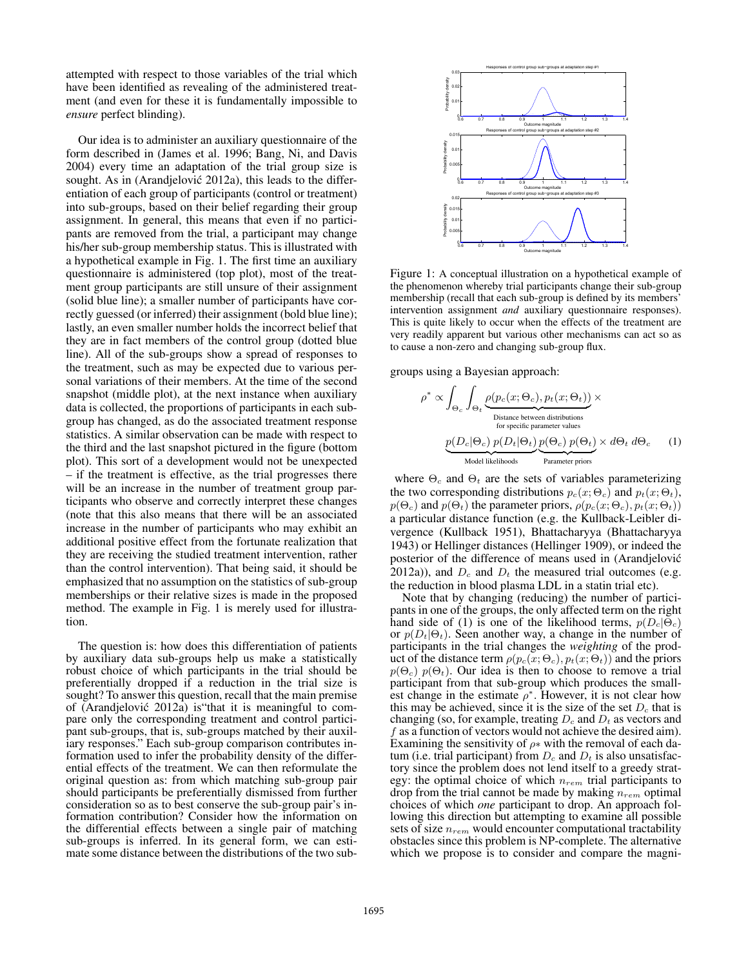attempted with respect to those variables of the trial which have been identified as revealing of the administered treatment (and even for these it is fundamentally impossible to *ensure* perfect blinding).

Our idea is to administer an auxiliary questionnaire of the form described in (James et al. 1996; Bang, Ni, and Davis 2004) every time an adaptation of the trial group size is sought. As in (Arandjelović 2012a), this leads to the differentiation of each group of participants (control or treatment) into sub-groups, based on their belief regarding their group assignment. In general, this means that even if no participants are removed from the trial, a participant may change his/her sub-group membership status. This is illustrated with a hypothetical example in Fig. 1. The first time an auxiliary questionnaire is administered (top plot), most of the treatment group participants are still unsure of their assignment (solid blue line); a smaller number of participants have correctly guessed (or inferred) their assignment (bold blue line); lastly, an even smaller number holds the incorrect belief that they are in fact members of the control group (dotted blue line). All of the sub-groups show a spread of responses to the treatment, such as may be expected due to various personal variations of their members. At the time of the second snapshot (middle plot), at the next instance when auxiliary data is collected, the proportions of participants in each subgroup has changed, as do the associated treatment response statistics. A similar observation can be made with respect to the third and the last snapshot pictured in the figure (bottom plot). This sort of a development would not be unexpected – if the treatment is effective, as the trial progresses there will be an increase in the number of treatment group participants who observe and correctly interpret these changes (note that this also means that there will be an associated increase in the number of participants who may exhibit an additional positive effect from the fortunate realization that they are receiving the studied treatment intervention, rather than the control intervention). That being said, it should be emphasized that no assumption on the statistics of sub-group memberships or their relative sizes is made in the proposed method. The example in Fig. 1 is merely used for illustration.

The question is: how does this differentiation of patients by auxiliary data sub-groups help us make a statistically robust choice of which participants in the trial should be preferentially dropped if a reduction in the trial size is sought? To answer this question, recall that the main premise of (Arandjelovic 2012a) is"that it is meaningful to com- ´ pare only the corresponding treatment and control participant sub-groups, that is, sub-groups matched by their auxiliary responses." Each sub-group comparison contributes information used to infer the probability density of the differential effects of the treatment. We can then reformulate the original question as: from which matching sub-group pair should participants be preferentially dismissed from further consideration so as to best conserve the sub-group pair's information contribution? Consider how the information on the differential effects between a single pair of matching sub-groups is inferred. In its general form, we can estimate some distance between the distributions of the two sub-



Figure 1: A conceptual illustration on a hypothetical example of the phenomenon whereby trial participants change their sub-group membership (recall that each sub-group is defined by its members' intervention assignment *and* auxiliary questionnaire responses). This is quite likely to occur when the effects of the treatment are very readily apparent but various other mechanisms can act so as to cause a non-zero and changing sub-group flux.

groups using a Bayesian approach:

$$
\rho^* \propto \int_{\Theta_c} \int_{\Theta_t} \underbrace{\rho(p_c(x;\Theta_c), p_t(x;\Theta_t))}_{\text{Distance between distributions} \atop \text{for specific parameter values}} \times \underbrace{p(D_c|\Theta_c) p(D_t|\Theta_t)}_{\text{Model likelihoods}} \underbrace{p(\Theta_c) p(\Theta_t)}_{\text{Parameter priors}} \times d\Theta_t d\Theta_c \quad (1)
$$

where  $\Theta_c$  and  $\Theta_t$  are the sets of variables parameterizing the two corresponding distributions  $p_c(x; \Theta_c)$  and  $p_t(x; \Theta_t)$ ,  $p(\Theta_c)$  and  $p(\Theta_t)$  the parameter priors,  $p(p_c(x; \Theta_c), p_t(x; \Theta_t))$ a particular distance function (e.g. the Kullback-Leibler divergence (Kullback 1951), Bhattacharyya (Bhattacharyya 1943) or Hellinger distances (Hellinger 1909), or indeed the posterior of the difference of means used in (Arandjelovic´ 2012a)), and  $D_c$  and  $D_t$  the measured trial outcomes (e.g. the reduction in blood plasma LDL in a statin trial etc).

Note that by changing (reducing) the number of participants in one of the groups, the only affected term on the right hand side of (1) is one of the likelihood terms,  $p(D_c|\bar{\Theta}_c)$ or  $p(D_t|\Theta_t)$ . Seen another way, a change in the number of participants in the trial changes the *weighting* of the product of the distance term  $\rho(p_c(x; \Theta_c), p_t(x; \Theta_t))$  and the priors  $p(\Theta_c)$   $p(\Theta_t)$ . Our idea is then to choose to remove a trial participant from that sub-group which produces the smallest change in the estimate  $\rho^*$ . However, it is not clear how this may be achieved, since it is the size of the set  $D_c$  that is changing (so, for example, treating  $D_c$  and  $D_t$  as vectors and f as a function of vectors would not achieve the desired aim). Examining the sensitivity of  $\rho$ \* with the removal of each datum (i.e. trial participant) from  $D_c$  and  $D_t$  is also unsatisfactory since the problem does not lend itself to a greedy strategy: the optimal choice of which  $n_{rem}$  trial participants to drop from the trial cannot be made by making  $n_{rem}$  optimal choices of which *one* participant to drop. An approach following this direction but attempting to examine all possible sets of size  $n_{rem}$  would encounter computational tractability obstacles since this problem is NP-complete. The alternative which we propose is to consider and compare the magni-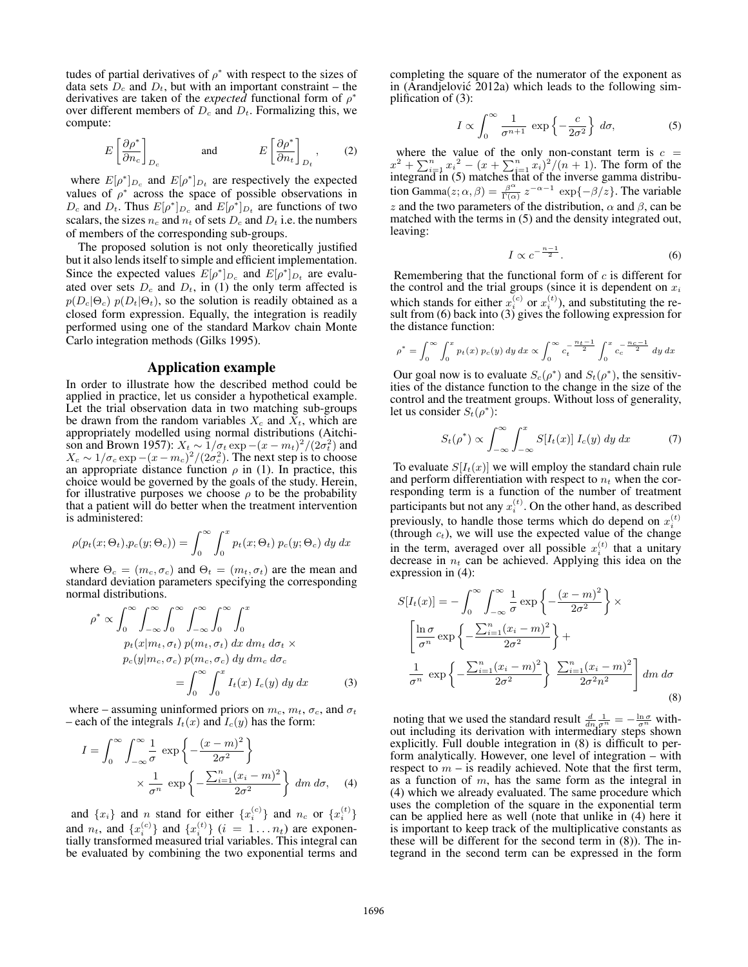tudes of partial derivatives of  $\rho^*$  with respect to the sizes of data sets  $D_c$  and  $D_t$ , but with an important constraint – the derivatives are taken of the *expected* functional form of  $\rho^*$ over different members of  $D_c$  and  $D_t$ . Formalizing this, we compute:

$$
E\left[\frac{\partial \rho^*}{\partial n_c}\right]_{D_c} \quad \text{and} \quad E\left[\frac{\partial \rho^*}{\partial n_t}\right]_{D_t}, \quad (2)
$$

where  $E[\rho^*]_{D_c}$  and  $E[\rho^*]_{D_t}$  are respectively the expected values of  $\rho^*$  across the space of possible observations in  $D_c$  and  $D_t$ . Thus  $E[\rho^*]_{D_c}$  and  $E[\rho^*]_{D_t}$  are functions of two scalars, the sizes  $n_c$  and  $n_t$  of sets  $D_c$  and  $D_t$  i.e. the numbers of members of the corresponding sub-groups.

The proposed solution is not only theoretically justified but it also lends itself to simple and efficient implementation. Since the expected values  $E[\rho^*]_{D_c}$  and  $E[\rho^*]_{D_t}$  are evaluated over sets  $D_c$  and  $D_t$ , in (1) the only term affected is  $p(D_c|\Theta_c)$   $p(D_t|\Theta_t)$ , so the solution is readily obtained as a closed form expression. Equally, the integration is readily performed using one of the standard Markov chain Monte Carlo integration methods (Gilks 1995).

#### Application example

In order to illustrate how the described method could be applied in practice, let us consider a hypothetical example. Let the trial observation data in two matching sub-groups be drawn from the random variables  $X_c$  and  $X_t$ , which are appropriately modelled using normal distributions (Aitchison and Brown 1957):  $X_t \sim 1/\sigma_t \exp{-(x-m_t)^2}/(2\sigma_t^2)$  and  $X_c \sim 1/\sigma_c \exp -(x-m_c)^2/(2\sigma_c^2)$ . The next step is to choose an appropriate distance function  $\rho$  in (1). In practice, this choice would be governed by the goals of the study. Herein, for illustrative purposes we choose  $\rho$  to be the probability that a patient will do better when the treatment intervention is administered:

$$
\rho(p_t(x;\Theta_t), p_c(y;\Theta_c)) = \int_0^\infty \int_0^x p_t(x;\Theta_t) p_c(y;\Theta_c) dy dx
$$

where  $\Theta_c = (m_c, \sigma_c)$  and  $\Theta_t = (m_t, \sigma_t)$  are the mean and standard deviation parameters specifying the corresponding normal distributions.

$$
\rho^* \propto \int_0^\infty \int_{-\infty}^\infty \int_0^\infty \int_{-\infty}^\infty \int_0^\infty \int_0^x
$$
  
\n
$$
p_t(x|m_t, \sigma_t) p(m_t, \sigma_t) dx dm_t d\sigma_t \times
$$
  
\n
$$
p_c(y|m_c, \sigma_c) p(m_c, \sigma_c) dy dm_c d\sigma_c
$$
  
\n
$$
= \int_0^\infty \int_0^x I_t(x) I_c(y) dy dx
$$
 (3)

where – assuming uninformed priors on  $m_c$ ,  $m_t$ ,  $\sigma_c$ , and  $\sigma_t$ – each of the integrals  $I_t(x)$  and  $I_c(y)$  has the form:

$$
I = \int_0^\infty \int_{-\infty}^\infty \frac{1}{\sigma} \exp\left\{-\frac{(x-m)^2}{2\sigma^2}\right\}
$$

$$
\times \frac{1}{\sigma^n} \exp\left\{-\frac{\sum_{i=1}^n (x_i - m)^2}{2\sigma^2}\right\} dm d\sigma, \quad (4)
$$

and  $\{x_i\}$  and n stand for either  $\{x_i^{(c)}\}$  and  $n_c$  or  $\{x_i^{(t)}\}$ and  $n_t$ , and  $\{x_i^{(c)}\}$  and  $\{x_i^{(t)}\}$   $(i = 1 \dots n_t)$  are exponentially transformed measured trial variables. This integral can be evaluated by combining the two exponential terms and completing the square of the numerator of the exponent as in (Arandjelović 2012a) which leads to the following simplification of (3):

$$
I \propto \int_0^\infty \frac{1}{\sigma^{n+1}} \, \exp\left\{-\frac{c}{2\sigma^2}\right\} \, d\sigma,\tag{5}
$$

where the value of the only non-constant term is  $c =$  $x^{2} + \sum_{i=1}^{n} x_{i}^{2} - (x + \sum_{i=1}^{n} x_{i})^{2}/(n+1)$ . The form of the integrand in (5) matches that of the inverse gamma distribution Gamma $(z; \alpha, \beta) = \frac{\beta^{\alpha}}{\Gamma(\alpha)}$  $\frac{\beta^{\alpha}}{\Gamma(\alpha)} z^{-\alpha-1}$  exp{- $\beta$ /z}. The variable z and the two parameters of the distribution,  $\alpha$  and  $\beta$ , can be matched with the terms in (5) and the density integrated out, leaving:

$$
I \propto c^{-\frac{n-1}{2}}.\tag{6}
$$

Remembering that the functional form of  $c$  is different for the control and the trial groups (since it is dependent on  $x_i$ which stands for either  $x_i^{(c)}$  or  $x_i^{(t)}$ ), and substituting the result from (6) back into (3) gives the following expression for the distance function:

$$
\rho^* = \int_0^\infty \int_0^x p_t(x) \, p_c(y) \, dy \, dx \propto \int_0^\infty c_t^{-\frac{n_t - 1}{2}} \int_0^x c_c^{-\frac{n_c - 1}{2}} \, dy \, dx
$$

Our goal now is to evaluate  $S_c(\rho^*)$  and  $S_t(\rho^*)$ , the sensitivities of the distance function to the change in the size of the control and the treatment groups. Without loss of generality, let us consider  $S_t(\rho^*)$ :

$$
S_t(\rho^*) \propto \int_{-\infty}^{\infty} \int_{-\infty}^{x} S[I_t(x)] I_c(y) dy dx \tag{7}
$$

To evaluate  $S[I_t(x)]$  we will employ the standard chain rule and perform differentiation with respect to  $n_t$  when the corresponding term is a function of the number of treatment participants but not any  $x_i^{(t)}$ . On the other hand, as described previously, to handle those terms which do depend on  $x_i^{(t)}$  (through  $c_t$ ), we will use the expected value of the change in the term, averaged over all possible  $x_i^{(t)}$  that a unitary decrease in  $n_t$  can be achieved. Applying this idea on the expression in (4):

$$
S[I_t(x)] = -\int_0^\infty \int_{-\infty}^\infty \frac{1}{\sigma} \exp\left\{-\frac{(x-m)^2}{2\sigma^2}\right\} \times
$$

$$
\left[\frac{\ln \sigma}{\sigma^n} \exp\left\{-\frac{\sum_{i=1}^n (x_i - m)^2}{2\sigma^2}\right\} +
$$

$$
\frac{1}{\sigma^n} \exp\left\{-\frac{\sum_{i=1}^n (x_i - m)^2}{2\sigma^2}\right\} \frac{\sum_{i=1}^n (x_i - m)^2}{2\sigma^2 n^2}\right] dm d\sigma
$$
(8)

noting that we used the standard result  $\frac{d}{dn} \frac{1}{\sigma^n} = -\frac{\ln \sigma}{\sigma^n}$  without including its derivation with intermediary steps shown explicitly. Full double integration in (8) is difficult to perform analytically. However, one level of integration – with respect to  $m - i$ s readily achieved. Note that the first term, as a function of  $m$ , has the same form as the integral in (4) which we already evaluated. The same procedure which uses the completion of the square in the exponential term can be applied here as well (note that unlike in (4) here it is important to keep track of the multiplicative constants as these will be different for the second term in (8)). The integrand in the second term can be expressed in the form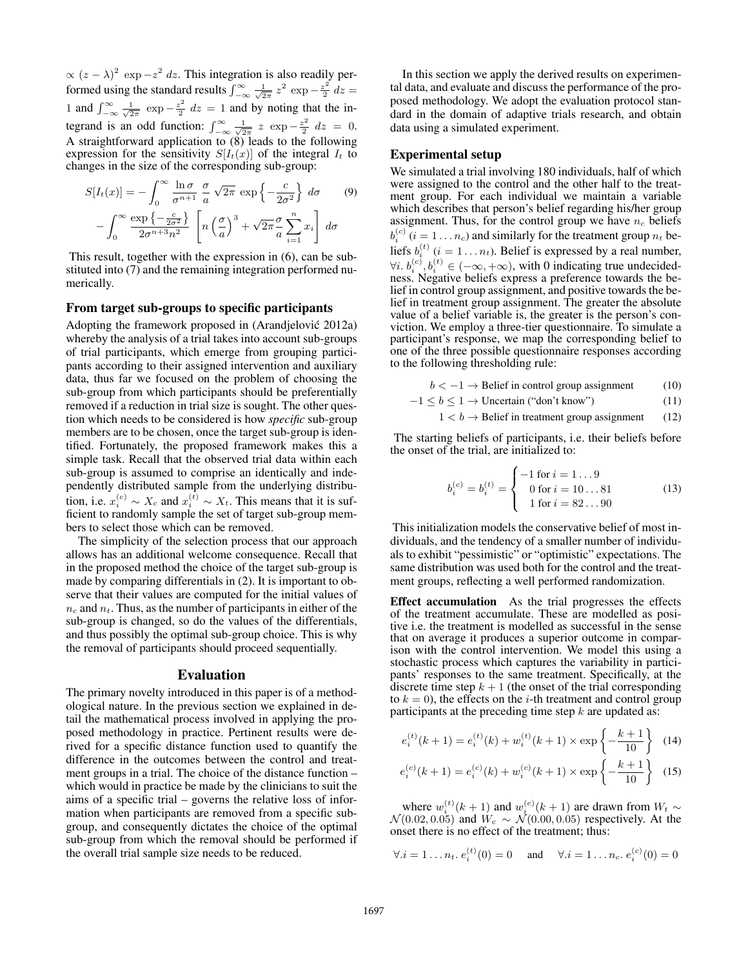$\propto (z - \lambda)^2 \exp(-z^2) dz$ . This integration is also readily performed using the standard results  $\int_{-\infty}^{\infty} \frac{1}{\sqrt{2\pi}} z^2 \exp{-\frac{z^2}{2}}$  $\frac{z^2}{2}$  dz = 1 and  $\int_{-\infty}^{\infty} \frac{1}{\sqrt{2\pi}} \exp{-\frac{z^2}{2}}$  $\frac{z^2}{2}$  dz = 1 and by noting that the integrand is an odd function:  $\int_{-\infty}^{\infty} \frac{1}{\sqrt{2\pi}} z \exp{-\frac{z^2}{2}}$  $\frac{z^2}{2}$  dz = 0. A straightforward application to (8) leads to the following expression for the sensitivity  $S[I_t(x)]$  of the integral  $I_t$  to changes in the size of the corresponding sub-group:

$$
S[I_t(x)] = -\int_0^\infty \frac{\ln \sigma}{\sigma^{n+1}} \frac{\sigma}{a} \sqrt{2\pi} \exp\left\{-\frac{c}{2\sigma^2}\right\} d\sigma \qquad (9)
$$

$$
-\int_0^\infty \frac{\exp\left\{-\frac{c}{2\sigma^2}\right\}}{2\sigma^{n+3}n^2} \left[n\left(\frac{\sigma}{a}\right)^3 + \sqrt{2\pi}\frac{\sigma}{a}\sum_{i=1}^n x_i\right] d\sigma
$$

This result, together with the expression in (6), can be substituted into (7) and the remaining integration performed numerically.

# From target sub-groups to specific participants

Adopting the framework proposed in (Arandjelovic 2012a) ´ whereby the analysis of a trial takes into account sub-groups of trial participants, which emerge from grouping participants according to their assigned intervention and auxiliary data, thus far we focused on the problem of choosing the sub-group from which participants should be preferentially removed if a reduction in trial size is sought. The other question which needs to be considered is how *specific* sub-group members are to be chosen, once the target sub-group is identified. Fortunately, the proposed framework makes this a simple task. Recall that the observed trial data within each sub-group is assumed to comprise an identically and independently distributed sample from the underlying distribution, i.e.  $x_i^{(c)} \sim X_c$  and  $x_i^{(t)} \sim X_t$ . This means that it is sufficient to randomly sample the set of target sub-group members to select those which can be removed.

The simplicity of the selection process that our approach allows has an additional welcome consequence. Recall that in the proposed method the choice of the target sub-group is made by comparing differentials in (2). It is important to observe that their values are computed for the initial values of  $n_c$  and  $n_t$ . Thus, as the number of participants in either of the sub-group is changed, so do the values of the differentials, and thus possibly the optimal sub-group choice. This is why the removal of participants should proceed sequentially.

#### Evaluation

The primary novelty introduced in this paper is of a methodological nature. In the previous section we explained in detail the mathematical process involved in applying the proposed methodology in practice. Pertinent results were derived for a specific distance function used to quantify the difference in the outcomes between the control and treatment groups in a trial. The choice of the distance function – which would in practice be made by the clinicians to suit the aims of a specific trial – governs the relative loss of information when participants are removed from a specific subgroup, and consequently dictates the choice of the optimal sub-group from which the removal should be performed if the overall trial sample size needs to be reduced.

In this section we apply the derived results on experimental data, and evaluate and discuss the performance of the proposed methodology. We adopt the evaluation protocol standard in the domain of adaptive trials research, and obtain data using a simulated experiment.

#### Experimental setup

We simulated a trial involving 180 individuals, half of which were assigned to the control and the other half to the treatment group. For each individual we maintain a variable which describes that person's belief regarding his/her group assignment. Thus, for the control group we have  $n_c$  beliefs  $b_i^{(c)}$  ( $i = 1 \dots n_c$ ) and similarly for the treatment group  $n_t$  beliefs  $b_i^{(t)}$  ( $i = 1...n_t$ ). Belief is expressed by a real number,  $\forall i. b_i^{(c)}, b_i^{(t)} \in (-\infty, +\infty)$ , with 0 indicating true undecidedness. Negative beliefs express a preference towards the belief in control group assignment, and positive towards the belief in treatment group assignment. The greater the absolute value of a belief variable is, the greater is the person's conviction. We employ a three-tier questionnaire. To simulate a participant's response, we map the corresponding belief to one of the three possible questionnaire responses according to the following thresholding rule:

$$
b < -1 \rightarrow \text{Belief in control group assignment} \tag{10}
$$

$$
-1 \le b \le 1 \to \text{Uncertain ("don't know")}
$$
 (11)  
 
$$
1 < b \to \text{Belief in treatment group assignment}
$$
 (12)

$$
\begin{array}{c}\n\bullet \\
\bullet \\
\bullet \\
\bullet\n\end{array}
$$

The starting beliefs of participants, i.e. their beliefs before the onset of the trial, are initialized to:

$$
b_i^{(c)} = b_i^{(t)} = \begin{cases} -1 \text{ for } i = 1 \dots 9\\ 0 \text{ for } i = 10 \dots 81\\ 1 \text{ for } i = 82 \dots 90 \end{cases}
$$
 (13)

This initialization models the conservative belief of most individuals, and the tendency of a smaller number of individuals to exhibit "pessimistic" or "optimistic" expectations. The same distribution was used both for the control and the treatment groups, reflecting a well performed randomization.

Effect accumulation As the trial progresses the effects of the treatment accumulate. These are modelled as positive i.e. the treatment is modelled as successful in the sense that on average it produces a superior outcome in comparison with the control intervention. We model this using a stochastic process which captures the variability in participants' responses to the same treatment. Specifically, at the discrete time step  $k + 1$  (the onset of the trial corresponding to  $k = 0$ , the effects on the *i*-th treatment and control group participants at the preceding time step  $k$  are updated as:

$$
e_i^{(t)}(k+1) = e_i^{(t)}(k) + w_i^{(t)}(k+1) \times \exp\left\{-\frac{k+1}{10}\right\} \tag{14}
$$

$$
e_i^{(c)}(k+1) = e_i^{(c)}(k) + w_i^{(c)}(k+1) \times \exp\left\{-\frac{k+1}{10}\right\} \tag{15}
$$

where  $w_i^{(t)}(k+1)$  and  $w_i^{(c)}(k+1)$  are drawn from  $W_t \sim$  $\mathcal{N}(0.02, 0.05)$  and  $W_c \sim \mathcal{N}(0.00, 0.05)$  respectively. At the onset there is no effect of the treatment; thus:

$$
\forall . i = 1 \dots n_t. \ e_i^{(t)}(0) = 0 \quad \text{and} \quad \forall . i = 1 \dots n_c. \ e_i^{(c)}(0) = 0
$$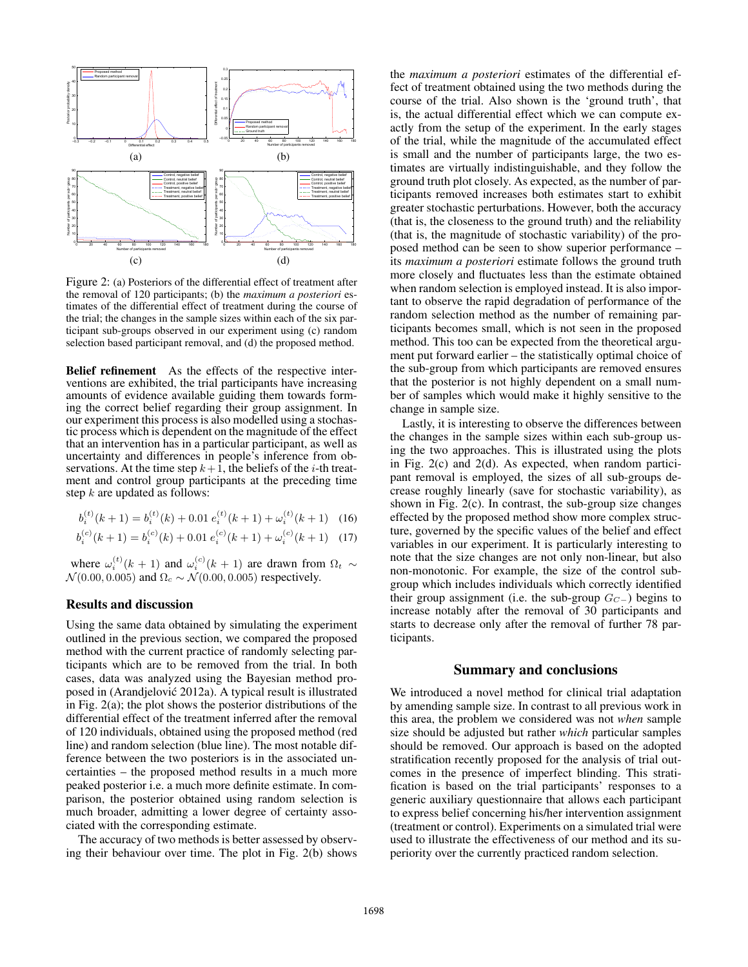

Figure 2: (a) Posteriors of the differential effect of treatment after the removal of 120 participants; (b) the *maximum a posteriori* estimates of the differential effect of treatment during the course of the trial; the changes in the sample sizes within each of the six participant sub-groups observed in our experiment using (c) random selection based participant removal, and (d) the proposed method.

Belief refinement As the effects of the respective interventions are exhibited, the trial participants have increasing amounts of evidence available guiding them towards forming the correct belief regarding their group assignment. In our experiment this process is also modelled using a stochastic process which is dependent on the magnitude of the effect that an intervention has in a particular participant, as well as uncertainty and differences in people's inference from observations. At the time step  $k+1$ , the beliefs of the *i*-th treatment and control group participants at the preceding time step  $k$  are updated as follows:

$$
b_i^{(t)}(k+1) = b_i^{(t)}(k) + 0.01 \ e_i^{(t)}(k+1) + \omega_i^{(t)}(k+1) \quad (16)
$$

$$
b_i^{(c)}(k+1) = b_i^{(c)}(k) + 0.01 \ e_i^{(c)}(k+1) + \omega_i^{(c)}(k+1) \quad (17)
$$

where  $\omega_i^{(t)}(k+1)$  and  $\omega_i^{(c)}(k+1)$  are drawn from  $\Omega_t \sim$  $\mathcal{N}(0.00, 0.005)$  and  $\Omega_c \sim \mathcal{N}(0.00, 0.005)$  respectively.

#### Results and discussion

Using the same data obtained by simulating the experiment outlined in the previous section, we compared the proposed method with the current practice of randomly selecting participants which are to be removed from the trial. In both cases, data was analyzed using the Bayesian method proposed in (Arandjelovic 2012a). A typical result is illustrated ´ in Fig. 2(a); the plot shows the posterior distributions of the differential effect of the treatment inferred after the removal of 120 individuals, obtained using the proposed method (red line) and random selection (blue line). The most notable difference between the two posteriors is in the associated uncertainties – the proposed method results in a much more peaked posterior i.e. a much more definite estimate. In comparison, the posterior obtained using random selection is much broader, admitting a lower degree of certainty associated with the corresponding estimate.

The accuracy of two methods is better assessed by observing their behaviour over time. The plot in Fig. 2(b) shows the *maximum a posteriori* estimates of the differential effect of treatment obtained using the two methods during the course of the trial. Also shown is the 'ground truth', that is, the actual differential effect which we can compute exactly from the setup of the experiment. In the early stages of the trial, while the magnitude of the accumulated effect is small and the number of participants large, the two estimates are virtually indistinguishable, and they follow the ground truth plot closely. As expected, as the number of participants removed increases both estimates start to exhibit greater stochastic perturbations. However, both the accuracy (that is, the closeness to the ground truth) and the reliability (that is, the magnitude of stochastic variability) of the proposed method can be seen to show superior performance – its *maximum a posteriori* estimate follows the ground truth more closely and fluctuates less than the estimate obtained when random selection is employed instead. It is also important to observe the rapid degradation of performance of the random selection method as the number of remaining participants becomes small, which is not seen in the proposed method. This too can be expected from the theoretical argument put forward earlier – the statistically optimal choice of the sub-group from which participants are removed ensures that the posterior is not highly dependent on a small number of samples which would make it highly sensitive to the change in sample size.

Lastly, it is interesting to observe the differences between the changes in the sample sizes within each sub-group using the two approaches. This is illustrated using the plots in Fig. 2(c) and 2(d). As expected, when random participant removal is employed, the sizes of all sub-groups decrease roughly linearly (save for stochastic variability), as shown in Fig. 2(c). In contrast, the sub-group size changes effected by the proposed method show more complex structure, governed by the specific values of the belief and effect variables in our experiment. It is particularly interesting to note that the size changes are not only non-linear, but also non-monotonic. For example, the size of the control subgroup which includes individuals which correctly identified their group assignment (i.e. the sub-group  $G_{C-}$ ) begins to increase notably after the removal of 30 participants and starts to decrease only after the removal of further 78 participants.

#### Summary and conclusions

We introduced a novel method for clinical trial adaptation by amending sample size. In contrast to all previous work in this area, the problem we considered was not *when* sample size should be adjusted but rather *which* particular samples should be removed. Our approach is based on the adopted stratification recently proposed for the analysis of trial outcomes in the presence of imperfect blinding. This stratification is based on the trial participants' responses to a generic auxiliary questionnaire that allows each participant to express belief concerning his/her intervention assignment (treatment or control). Experiments on a simulated trial were used to illustrate the effectiveness of our method and its superiority over the currently practiced random selection.